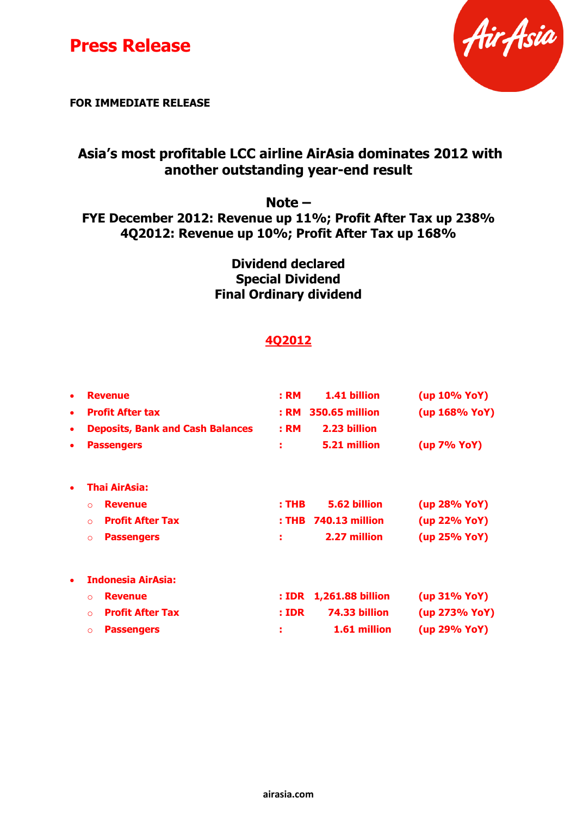



**FOR IMMEDIATE RELEASE**

## **Asia's most profitable LCC airline AirAsia dominates 2012 with another outstanding year-end result**

## **Note –**

#### **FYE December 2012: Revenue up 11%; Profit After Tax up 238% 4Q2012: Revenue up 10%; Profit After Tax up 168%**

## **Dividend declared Special Dividend Final Ordinary dividend**

## **4Q2012**

| $\bullet$ | <b>Revenue</b>                          | : <b>RM</b><br>1.41 billion      | (up 10% YoY)    |
|-----------|-----------------------------------------|----------------------------------|-----------------|
| $\bullet$ | <b>Profit After tax</b>                 | <b>350.65 million</b><br>: RM    | (up 168% YoY)   |
| $\bullet$ | <b>Deposits, Bank and Cash Balances</b> | 2.23 billion<br>: RM             |                 |
| $\bullet$ | <b>Passengers</b>                       | 5.21 million<br>÷                | (up 7% YoY)     |
| $\bullet$ | Thai AirAsia:                           |                                  |                 |
|           | <b>Revenue</b><br>$\Omega$              | 5.62 billion<br>: THB            | (up 28% YoY)    |
|           | <b>Profit After Tax</b><br>$\Omega$     | <b>740.13 million</b><br>: THB   | (up 22% YoY)    |
|           | <b>Passengers</b><br>$\Omega$           | 2.27 million<br>÷                | (up 25% YoY)    |
| $\bullet$ | <b>Indonesia AirAsia:</b>               |                                  |                 |
|           | <b>Revenue</b><br>$\Omega$              | <b>1,261.88 billion</b><br>: IDR | $(up 31\% YoY)$ |
|           | <b>Profit After Tax</b><br>$\Omega$     | 74.33 billion<br>: <b>IDR</b>    | (up 273% YoY)   |
|           | <b>Passengers</b><br>$\Omega$           | 1.61 million<br>÷                | (up 29% YoY)    |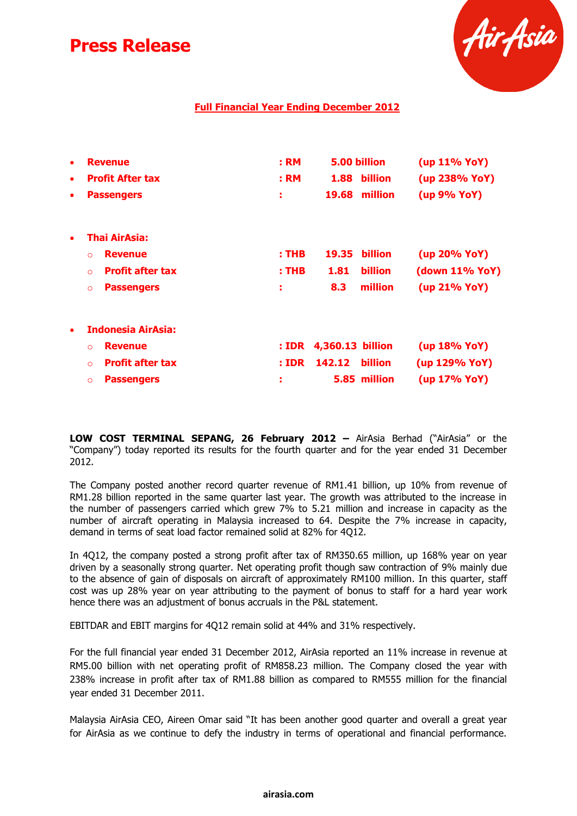

#### **Full Financial Year Ending December 2012**

| ٠<br>٠<br>٠ | <b>Revenue</b><br><b>Profit After tax</b><br><b>Passengers</b> | : <b>RM</b><br>: RM<br>÷ | 5.00 billion<br>billion<br>1.88<br>19.68<br>million | (up 11% YoY)<br>(up 238% YoY)<br>(up 9% YoY) |
|-------------|----------------------------------------------------------------|--------------------------|-----------------------------------------------------|----------------------------------------------|
| $\bullet$   | Thai AirAsia:                                                  |                          |                                                     |                                              |
|             | <b>Revenue</b><br>$\Omega$                                     | : <b>THE</b>             | billion<br>19.35                                    | (up 20% YoY)                                 |
|             | <b>Profit after tax</b><br>$\Omega$                            | $:$ THB                  | <b>billion</b><br>1.81                              | (down 11% YoY)                               |
|             | <b>Passengers</b><br>$\circ$                                   | и                        | million<br>8.3                                      | (up 21% YoY)                                 |
| $\bullet$   | <b>Indonesia AirAsia:</b>                                      |                          |                                                     |                                              |
|             | <b>Revenue</b><br>$\Omega$                                     | : <b>IDR</b>             | 4,360.13 billion                                    | (up 18% YoY)                                 |
|             | <b>Profit after tax</b><br>$\Omega$                            | : <b>IDR</b>             | 142.12<br><b>billion</b>                            | (up 129% YoY)                                |
|             | <b>Passengers</b><br>$\circ$                                   | ÷                        | 5.85 million                                        | (up 17% YoY)                                 |

**LOW COST TERMINAL SEPANG, 26 February 2012 –** AirAsia Berhad ("AirAsia" or the "Company") today reported its results for the fourth quarter and for the year ended 31 December 2012.

The Company posted another record quarter revenue of RM1.41 billion, up 10% from revenue of RM1.28 billion reported in the same quarter last year. The growth was attributed to the increase in the number of passengers carried which grew 7% to 5.21 million and increase in capacity as the number of aircraft operating in Malaysia increased to 64. Despite the 7% increase in capacity, demand in terms of seat load factor remained solid at 82% for 4Q12.

In 4Q12, the company posted a strong profit after tax of RM350.65 million, up 168% year on year driven by a seasonally strong quarter. Net operating profit though saw contraction of 9% mainly due to the absence of gain of disposals on aircraft of approximately RM100 million. In this quarter, staff cost was up 28% year on year attributing to the payment of bonus to staff for a hard year work hence there was an adjustment of bonus accruals in the P&L statement.

EBITDAR and EBIT margins for 4Q12 remain solid at 44% and 31% respectively.

For the full financial year ended 31 December 2012, AirAsia reported an 11% increase in revenue at RM5.00 billion with net operating profit of RM858.23 million. The Company closed the year with 238% increase in profit after tax of RM1.88 billion as compared to RM555 million for the financial year ended 31 December 2011.

Malaysia AirAsia CEO, Aireen Omar said "It has been another good quarter and overall a great year for AirAsia as we continue to defy the industry in terms of operational and financial performance.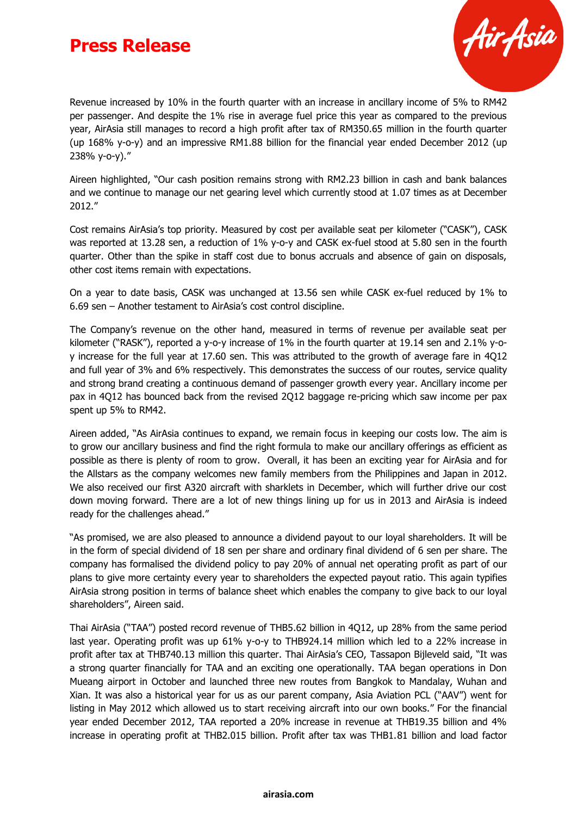

Revenue increased by 10% in the fourth quarter with an increase in ancillary income of 5% to RM42 per passenger. And despite the 1% rise in average fuel price this year as compared to the previous year, AirAsia still manages to record a high profit after tax of RM350.65 million in the fourth quarter (up 168% y-o-y) and an impressive RM1.88 billion for the financial year ended December 2012 (up 238% y-o-y)."

Aireen highlighted, "Our cash position remains strong with RM2.23 billion in cash and bank balances and we continue to manage our net gearing level which currently stood at 1.07 times as at December 2012."

Cost remains AirAsia's top priority. Measured by cost per available seat per kilometer ("CASK"), CASK was reported at 13.28 sen, a reduction of 1% y-o-y and CASK ex-fuel stood at 5.80 sen in the fourth quarter. Other than the spike in staff cost due to bonus accruals and absence of gain on disposals, other cost items remain with expectations.

On a year to date basis, CASK was unchanged at 13.56 sen while CASK ex-fuel reduced by 1% to 6.69 sen – Another testament to AirAsia's cost control discipline.

The Company's revenue on the other hand, measured in terms of revenue per available seat per kilometer ("RASK"), reported a y-o-y increase of 1% in the fourth quarter at 19.14 sen and 2.1% y-oy increase for the full year at 17.60 sen. This was attributed to the growth of average fare in 4Q12 and full year of 3% and 6% respectively. This demonstrates the success of our routes, service quality and strong brand creating a continuous demand of passenger growth every year. Ancillary income per pax in 4Q12 has bounced back from the revised 2Q12 baggage re-pricing which saw income per pax spent up 5% to RM42.

Aireen added, "As AirAsia continues to expand, we remain focus in keeping our costs low. The aim is to grow our ancillary business and find the right formula to make our ancillary offerings as efficient as possible as there is plenty of room to grow. Overall, it has been an exciting year for AirAsia and for the Allstars as the company welcomes new family members from the Philippines and Japan in 2012. We also received our first A320 aircraft with sharklets in December, which will further drive our cost down moving forward. There are a lot of new things lining up for us in 2013 and AirAsia is indeed ready for the challenges ahead."

"As promised, we are also pleased to announce a dividend payout to our loyal shareholders. It will be in the form of special dividend of 18 sen per share and ordinary final dividend of 6 sen per share. The company has formalised the dividend policy to pay 20% of annual net operating profit as part of our plans to give more certainty every year to shareholders the expected payout ratio. This again typifies AirAsia strong position in terms of balance sheet which enables the company to give back to our loyal shareholders", Aireen said.

Thai AirAsia ("TAA") posted record revenue of THB5.62 billion in 4Q12, up 28% from the same period last year. Operating profit was up 61% y-o-y to THB924.14 million which led to a 22% increase in profit after tax at THB740.13 million this quarter. Thai AirAsia's CEO, Tassapon Bijleveld said, "It was a strong quarter financially for TAA and an exciting one operationally. TAA began operations in Don Mueang airport in October and launched three new routes from Bangkok to Mandalay, Wuhan and Xian. It was also a historical year for us as our parent company, Asia Aviation PCL ("AAV") went for listing in May 2012 which allowed us to start receiving aircraft into our own books." For the financial year ended December 2012, TAA reported a 20% increase in revenue at THB19.35 billion and 4% increase in operating profit at THB2.015 billion. Profit after tax was THB1.81 billion and load factor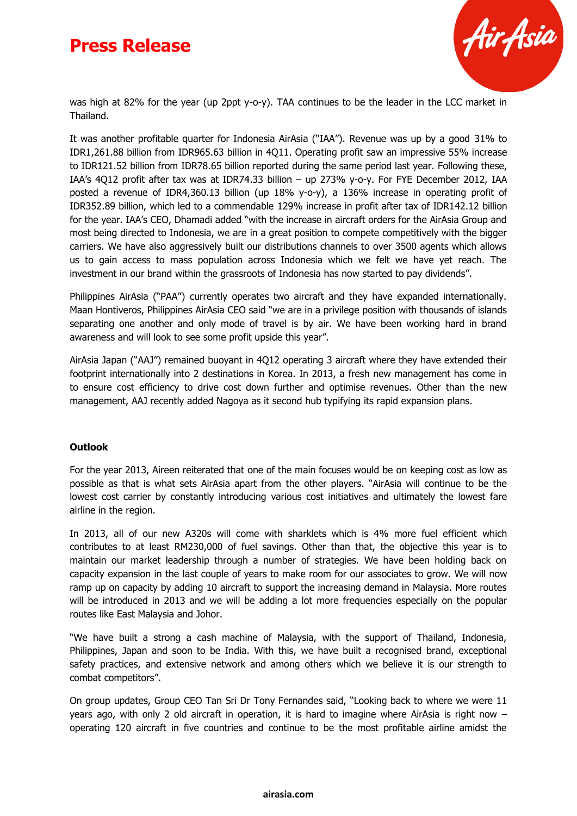

was high at 82% for the year (up 2ppt y-o-y). TAA continues to be the leader in the LCC market in Thailand.

It was another profitable quarter for Indonesia AirAsia ("IAA"). Revenue was up by a good 31% to IDR1,261.88 billion from IDR965.63 billion in 4Q11. Operating profit saw an impressive 55% increase to IDR121.52 billion from IDR78.65 billion reported during the same period last year. Following these, IAA's 4Q12 profit after tax was at IDR74.33 billion – up 273% y-o-y. For FYE December 2012, IAA posted a revenue of IDR4,360.13 billion (up 18% y-o-y), a 136% increase in operating profit of IDR352.89 billion, which led to a commendable 129% increase in profit after tax of IDR142.12 billion for the year. IAA's CEO, Dhamadi added "with the increase in aircraft orders for the AirAsia Group and most being directed to Indonesia, we are in a great position to compete competitively with the bigger carriers. We have also aggressively built our distributions channels to over 3500 agents which allows us to gain access to mass population across Indonesia which we felt we have yet reach. The investment in our brand within the grassroots of Indonesia has now started to pay dividends".

Philippines AirAsia ("PAA") currently operates two aircraft and they have expanded internationally. Maan Hontiveros, Philippines AirAsia CEO said "we are in a privilege position with thousands of islands separating one another and only mode of travel is by air. We have been working hard in brand awareness and will look to see some profit upside this year".

AirAsia Japan ("AAJ") remained buoyant in 4Q12 operating 3 aircraft where they have extended their footprint internationally into 2 destinations in Korea. In 2013, a fresh new management has come in to ensure cost efficiency to drive cost down further and optimise revenues. Other than the new management, AAJ recently added Nagoya as it second hub typifying its rapid expansion plans.

#### **Outlook**

For the year 2013, Aireen reiterated that one of the main focuses would be on keeping cost as low as possible as that is what sets AirAsia apart from the other players. "AirAsia will continue to be the lowest cost carrier by constantly introducing various cost initiatives and ultimately the lowest fare airline in the region.

In 2013, all of our new A320s will come with sharklets which is 4% more fuel efficient which contributes to at least RM230,000 of fuel savings. Other than that, the objective this year is to maintain our market leadership through a number of strategies. We have been holding back on capacity expansion in the last couple of years to make room for our associates to grow. We will now ramp up on capacity by adding 10 aircraft to support the increasing demand in Malaysia. More routes will be introduced in 2013 and we will be adding a lot more frequencies especially on the popular routes like East Malaysia and Johor.

"We have built a strong a cash machine of Malaysia, with the support of Thailand, Indonesia, Philippines, Japan and soon to be India. With this, we have built a recognised brand, exceptional safety practices, and extensive network and among others which we believe it is our strength to combat competitors".

On group updates, Group CEO Tan Sri Dr Tony Fernandes said, "Looking back to where we were 11 years ago, with only 2 old aircraft in operation, it is hard to imagine where AirAsia is right now – operating 120 aircraft in five countries and continue to be the most profitable airline amidst the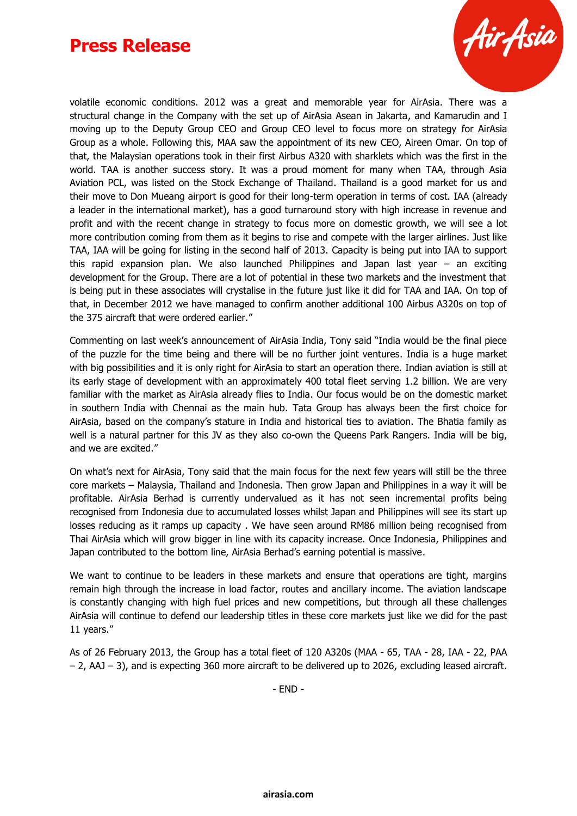

volatile economic conditions. 2012 was a great and memorable year for AirAsia. There was a structural change in the Company with the set up of AirAsia Asean in Jakarta, and Kamarudin and I moving up to the Deputy Group CEO and Group CEO level to focus more on strategy for AirAsia Group as a whole. Following this, MAA saw the appointment of its new CEO, Aireen Omar. On top of that, the Malaysian operations took in their first Airbus A320 with sharklets which was the first in the world. TAA is another success story. It was a proud moment for many when TAA, through Asia Aviation PCL, was listed on the Stock Exchange of Thailand. Thailand is a good market for us and their move to Don Mueang airport is good for their long-term operation in terms of cost. IAA (already a leader in the international market), has a good turnaround story with high increase in revenue and profit and with the recent change in strategy to focus more on domestic growth, we will see a lot more contribution coming from them as it begins to rise and compete with the larger airlines. Just like TAA, IAA will be going for listing in the second half of 2013. Capacity is being put into IAA to support this rapid expansion plan. We also launched Philippines and Japan last year – an exciting development for the Group. There are a lot of potential in these two markets and the investment that is being put in these associates will crystalise in the future just like it did for TAA and IAA. On top of that, in December 2012 we have managed to confirm another additional 100 Airbus A320s on top of the 375 aircraft that were ordered earlier."

Commenting on last week's announcement of AirAsia India, Tony said "India would be the final piece of the puzzle for the time being and there will be no further joint ventures. India is a huge market with big possibilities and it is only right for AirAsia to start an operation there. Indian aviation is still at its early stage of development with an approximately 400 total fleet serving 1.2 billion. We are very familiar with the market as AirAsia already flies to India. Our focus would be on the domestic market in southern India with Chennai as the main hub. Tata Group has always been the first choice for AirAsia, based on the company's stature in India and historical ties to aviation. The Bhatia family as well is a natural partner for this JV as they also co-own the Queens Park Rangers. India will be big, and we are excited."

On what's next for AirAsia, Tony said that the main focus for the next few years will still be the three core markets – Malaysia, Thailand and Indonesia. Then grow Japan and Philippines in a way it will be profitable. AirAsia Berhad is currently undervalued as it has not seen incremental profits being recognised from Indonesia due to accumulated losses whilst Japan and Philippines will see its start up losses reducing as it ramps up capacity . We have seen around RM86 million being recognised from Thai AirAsia which will grow bigger in line with its capacity increase. Once Indonesia, Philippines and Japan contributed to the bottom line, AirAsia Berhad's earning potential is massive.

We want to continue to be leaders in these markets and ensure that operations are tight, margins remain high through the increase in load factor, routes and ancillary income. The aviation landscape is constantly changing with high fuel prices and new competitions, but through all these challenges AirAsia will continue to defend our leadership titles in these core markets just like we did for the past 11 years."

As of 26 February 2013, the Group has a total fleet of 120 A320s (MAA - 65, TAA - 28, IAA - 22, PAA – 2, AAJ – 3), and is expecting 360 more aircraft to be delivered up to 2026, excluding leased aircraft.

- END -